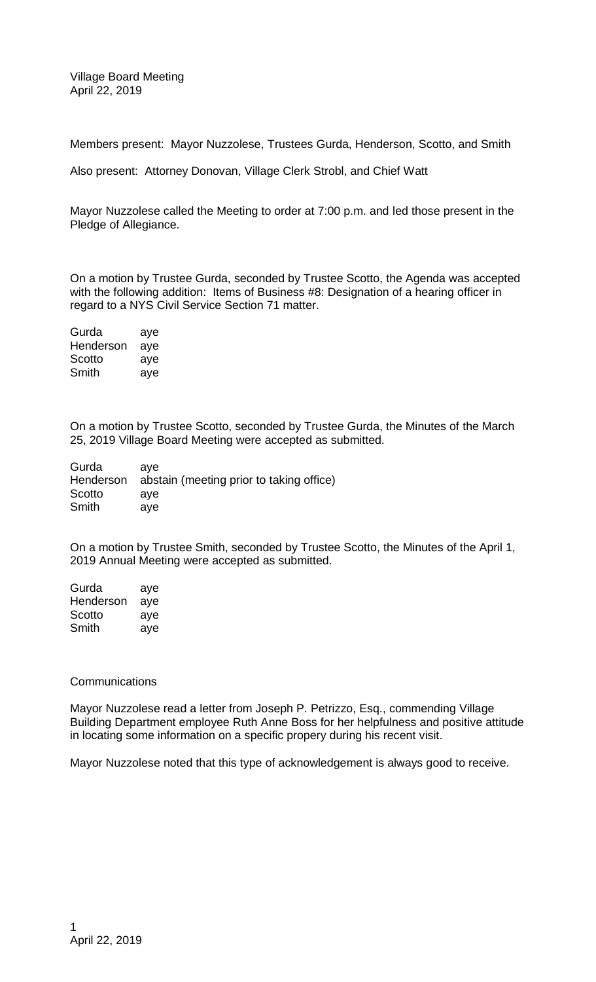Village Board Meeting April 22, 2019

Members present: Mayor Nuzzolese, Trustees Gurda, Henderson, Scotto, and Smith

Also present: Attorney Donovan, Village Clerk Strobl, and Chief Watt

Mayor Nuzzolese called the Meeting to order at 7:00 p.m. and led those present in the Pledge of Allegiance.

On a motion by Trustee Gurda, seconded by Trustee Scotto, the Agenda was accepted with the following addition: Items of Business #8: Designation of a hearing officer in regard to a NYS Civil Service Section 71 matter.

Gurda aye Henderson aye Scotto aye Smith aye

On a motion by Trustee Scotto, seconded by Trustee Gurda, the Minutes of the March 25, 2019 Village Board Meeting were accepted as submitted.

| Gurda     | ave                                      |
|-----------|------------------------------------------|
| Henderson | abstain (meeting prior to taking office) |
| Scotto    | ave                                      |
| Smith     | ave                                      |

On a motion by Trustee Smith, seconded by Trustee Scotto, the Minutes of the April 1, 2019 Annual Meeting were accepted as submitted.

| Gurda     | aye |
|-----------|-----|
| Henderson | aye |
| Scotto    | aye |
| Smith     | aye |

## **Communications**

Mayor Nuzzolese read a letter from Joseph P. Petrizzo, Esq., commending Village Building Department employee Ruth Anne Boss for her helpfulness and positive attitude in locating some information on a specific propery during his recent visit.

Mayor Nuzzolese noted that this type of acknowledgement is always good to receive.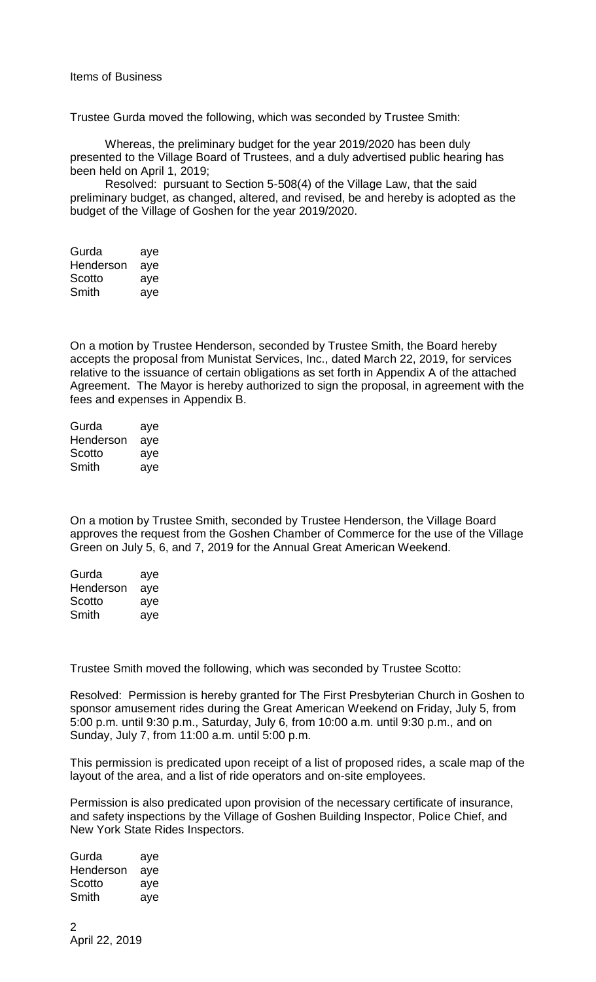Trustee Gurda moved the following, which was seconded by Trustee Smith:

Whereas, the preliminary budget for the year 2019/2020 has been duly presented to the Village Board of Trustees, and a duly advertised public hearing has been held on April 1, 2019;

Resolved: pursuant to Section 5-508(4) of the Village Law, that the said preliminary budget, as changed, altered, and revised, be and hereby is adopted as the budget of the Village of Goshen for the year 2019/2020.

| Gurda     | aye |
|-----------|-----|
| Henderson | aye |
| Scotto    | aye |
| Smith     | aye |

On a motion by Trustee Henderson, seconded by Trustee Smith, the Board hereby accepts the proposal from Munistat Services, Inc., dated March 22, 2019, for services relative to the issuance of certain obligations as set forth in Appendix A of the attached Agreement. The Mayor is hereby authorized to sign the proposal, in agreement with the fees and expenses in Appendix B.

| Gurda     | aye |
|-----------|-----|
| Henderson | aye |
| Scotto    | aye |
| Smith     | aye |

On a motion by Trustee Smith, seconded by Trustee Henderson, the Village Board approves the request from the Goshen Chamber of Commerce for the use of the Village Green on July 5, 6, and 7, 2019 for the Annual Great American Weekend.

| Gurda     | aye |
|-----------|-----|
| Henderson | aye |
| Scotto    | aye |
| Smith     | aye |

Trustee Smith moved the following, which was seconded by Trustee Scotto:

Resolved: Permission is hereby granted for The First Presbyterian Church in Goshen to sponsor amusement rides during the Great American Weekend on Friday, July 5, from 5:00 p.m. until 9:30 p.m., Saturday, July 6, from 10:00 a.m. until 9:30 p.m., and on Sunday, July 7, from 11:00 a.m. until 5:00 p.m.

This permission is predicated upon receipt of a list of proposed rides, a scale map of the layout of the area, and a list of ride operators and on-site employees.

Permission is also predicated upon provision of the necessary certificate of insurance, and safety inspections by the Village of Goshen Building Inspector, Police Chief, and New York State Rides Inspectors.

Gurda aye Henderson aye Scotto aye Smith aye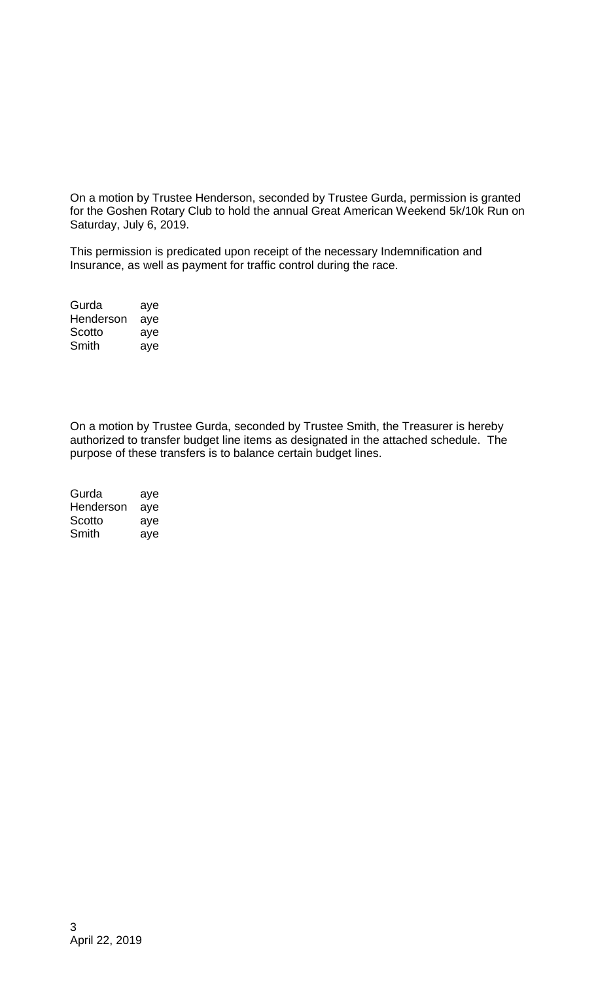On a motion by Trustee Henderson, seconded by Trustee Gurda, permission is granted for the Goshen Rotary Club to hold the annual Great American Weekend 5k/10k Run on Saturday, July 6, 2019.

This permission is predicated upon receipt of the necessary Indemnification and Insurance, as well as payment for traffic control during the race.

| Gurda     | aye |
|-----------|-----|
| Henderson | aye |
| Scotto    | aye |
| Smith     | aye |

On a motion by Trustee Gurda, seconded by Trustee Smith, the Treasurer is hereby authorized to transfer budget line items as designated in the attached schedule. The purpose of these transfers is to balance certain budget lines.

| Gurda     | aye |
|-----------|-----|
| Henderson | aye |
| Scotto    | aye |
| Smith     | aye |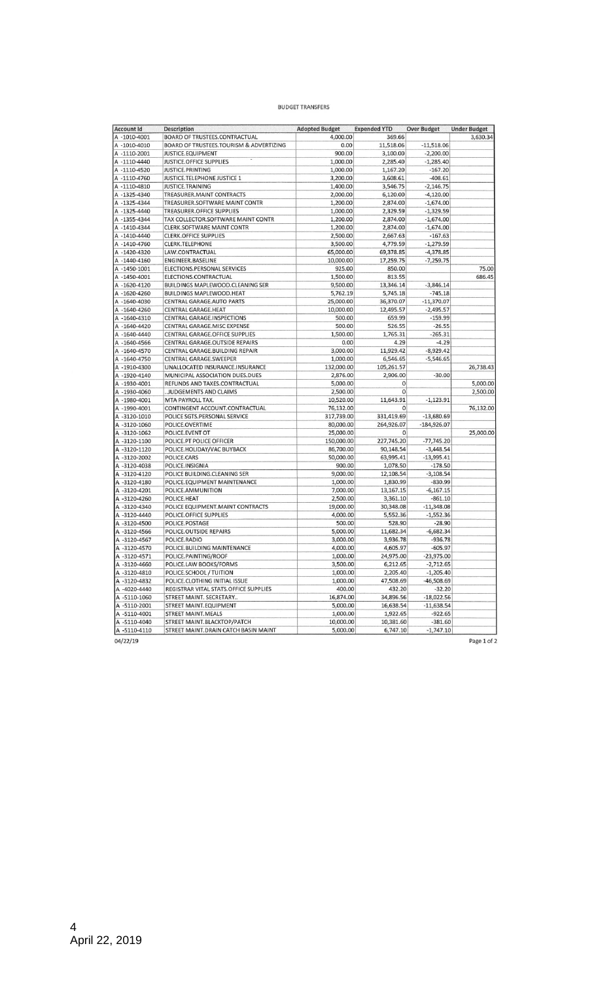## **BUDGET TRANSFERS**

| <b>Account Id</b> | <b>Description</b>                               | <b>Adopted Budget</b> | <b>Expended YTD</b>       | <b>Over Budget</b>          | <b>Under Budget</b>  |
|-------------------|--------------------------------------------------|-----------------------|---------------------------|-----------------------------|----------------------|
| A-1010-4001       | BOARD OF TRUSTEES.CONTRACTUAL                    | 4,000.00              | 369.66                    |                             | 3,630.34             |
| A-1010-4010       | BOARD OF TRUSTEES.TOURISM & ADVERTIZING          | 0.00                  | 11,518.06                 | $-11,518.06$                |                      |
| A-1110-2001       | JUSTICE.EQUIPMENT                                | 900.00                | 3,100.00                  | $-2,200.00$                 |                      |
| A-1110-4440       | JUSTICE.OFFICE SUPPLIES                          | 1,000.00              | 2,285.40                  | $-1,285.40$                 |                      |
| A-1110-4520       | JUSTICE.PRINTING                                 | 1,000.00              | 1,167.20                  | $-167.20$                   |                      |
| A-1110-4760       | JUSTICE.TELEPHONE JUSTICE 1                      | 3,200.00              | 3,608.61                  | $-408.61$                   |                      |
| A-1110-4810       | JUSTICE.TRAINING                                 | 1,400.00              | 3,546.75                  | $-2,146.75$                 |                      |
| A-1325-4340       | TREASURER. MAINT CONTRACTS                       | 2,000.00              | 6,120.00                  | $-4,120.00$                 |                      |
| A-1325-4344       | TREASURER.SOFTWARE MAINT CONTR                   | 1,200.00              | 2,874.00                  | $-1,674.00$                 |                      |
| A-1325-4440       | TREASURER.OFFICE SUPPLIES                        | 1,000.00              | 2,329.59                  | $-1,329.59$                 |                      |
| A-1355-4344       | TAX COLLECTOR.SOFTWARE MAINT CONTR               | 1,200.00              | 2,874.00                  | $-1,674.00$                 |                      |
| A-1410-4344       | CLERK.SOFTWARE MAINT CONTR                       | 1,200.00              | 2,874.00                  | $-1,674.00$                 |                      |
| A-1410-4440       | <b>CLERK.OFFICE SUPPLIES</b>                     | 2,500.00              | 2,667.63                  | $-167.63$                   |                      |
| A-1410-4760       | <b>CLERK.TELEPHONE</b>                           | 3,500.00              | 4,779.59                  | $-1,279.59$                 |                      |
| A-1420-4320       | LAW.CONTRACTUAL                                  | 65,000.00             | 69,378.85                 | $-4,378.85$                 |                      |
| A-1440-4160       | ENGINEER.BASELINE                                | 10,000.00             | 17,259.75                 | $-7,259.75$                 |                      |
| A-1450-1001       | ELECTIONS.PERSONAL SERVICES                      | 925.00                | 850.00                    |                             | 75.00                |
| A-1450-4001       | ELECTIONS.CONTRACTUAL                            | 1,500.00              | 813.55                    |                             | 686.45               |
| A-1620-4120       | BUILDINGS MAPLEWOOD.CLEANING SER                 | 9,500.00              | 13,346.14                 | $-3,846.14$                 |                      |
| A-1620-4260       | <b>BUILDINGS MAPLEWOOD.HEAT</b>                  | 5,762.19              | 5,745.18                  | $-745.18$                   |                      |
| A-1640-4030       | CENTRAL GARAGE.AUTO PARTS                        | 25,000.00             | 36,370.07                 | $-11,370.07$                |                      |
| A-1640-4260       | CENTRAL GARAGE.HEAT                              | 10,000.00             | 12,495.57                 | $-2,495.57$                 |                      |
| A-1640-4310       | CENTRAL GARAGE.INSPECTIONS                       | 500.00                | 659.99                    | $-159.99$                   |                      |
| A-1640-4420       | CENTRAL GARAGE.MISC EXPENSE                      | 500.00                | 526.55                    | $-26.55$                    |                      |
| A-1640-4440       | CENTRAL GARAGE.OFFICE SUPPLIES                   | 1,500.00              | 1,765.31                  | $-265.31$                   |                      |
| A-1640-4566       | CENTRAL GARAGE.OUTSIDE REPAIRS                   | 0.00                  | 4.29                      | $-4.29$                     |                      |
| A-1640-4570       | CENTRAL GARAGE.BUILDING REPAIR                   | 3,000.00              | 11,929.42                 | $-8,929.42$                 |                      |
| A-1640-4750       | CENTRAL GARAGE.SWEEPER                           | 1,000.00              | 6,546.65                  | $-5,546.65$                 |                      |
| A-1910-4300       | UNALLOCATED INSURANCE.INSURANCE                  | 132,000.00            | 105,261.57                |                             | 26,738.43            |
| A-1920-4140       | MUNICIPAL ASSOCIATION DUES.DUES                  | 2,876.00              | 2,906.00                  |                             |                      |
| A-1930-4001       | REFUNDS AND TAXES.CONTRACTUAL                    | 5,000.00              | $\mathbf 0$               | $-30.00$                    |                      |
|                   |                                                  | 2,500.00              | $\mathbf 0$               |                             | 5,000.00<br>2,500.00 |
| A-1930-4060       | .JUDGEMENTS AND CLAIMS<br>MTA PAYROLL TAX.       | 10,520.00             |                           | $-1,123.91$                 |                      |
| A-1980-4001       |                                                  |                       | 11,643.91<br>$\mathbf{0}$ |                             |                      |
| A-1990-4001       | CONTINGENT ACCOUNT.CONTRACTUAL                   | 76,132.00             |                           |                             | 76,132.00            |
| A-3120-1010       | POLICE SGTS.PERSONAL SERVICE                     | 317,739.00            | 331,419.69                | $-13,680.69$                |                      |
| A-3120-1060       | POLICE.OVERTIME                                  | 80,000.00             | 264,926.07<br>$\Omega$    | $-184,926.07$               |                      |
| A-3120-1062       | POLICE.EVENT OT                                  | 25,000.00             |                           |                             | 25,000.00            |
| A-3120-1100       | POLICE.PT POLICE OFFICER                         | 150,000.00            | 227,745.20<br>90,148.54   | $-77,745.20$<br>$-3,448.54$ |                      |
| A-3120-1120       | POLICE.HOLIDAY/VAC BUYBACK                       | 86,700.00             |                           |                             |                      |
| A-3120-2002       | POLICE.CARS                                      | 50,000.00             | 63,995.41                 | $-13,995.41$                |                      |
| A-3120-4038       | POLICE.INSIGNIA                                  | 900.00                | 1,078.50                  | $-178.50$                   |                      |
| A-3120-4120       | POLICE BUILDING.CLEANING SER                     | 9,000.00              | 12,108.54                 | $-3,108.54$                 |                      |
| A-3120-4180       | POLICE.EQUIPMENT MAINTENANCE                     | 1,000.00              | 1,830.99                  | $-830.99$                   |                      |
| A-3120-4201       | POLICE.AMMUNITION                                | 7,000.00              | 13,167.15                 | $-6,167.15$                 |                      |
| A-3120-4260       | POLICE.HEAT<br>POLICE EQUIPMENT. MAINT CONTRACTS | 2,500.00              | 3,361.10                  | $-861.10$<br>$-11,348.08$   |                      |
| A-3120-4340       |                                                  | 19,000.00             | 30,348.08                 |                             |                      |
| A-3120-4440       | POLICE.OFFICE SUPPLIES                           | 4,000.00<br>500.00    | 5,552.36                  | $-1,552.36$                 |                      |
| A-3120-4500       | POLICE.POSTAGE                                   |                       | 528.90                    | $-28.90$                    |                      |
| A-3120-4566       | POLICE.OUTSIDE REPAIRS                           | 5,000.00              | 11,682.34                 | $-6,682.34$                 |                      |
| A-3120-4567       | POLICE, RADIO                                    | 3,000.00<br>4,000.00  | 3,936.78<br>4,605.97      | $-936.78$                   |                      |
| A-3120-4570       | POLICE.BUILDING MAINTENANCE                      |                       |                           | $-605.97$                   |                      |
| A-3120-4571       | POLICE.PAINTING/ROOF                             | 1,000.00              | 24,975.00                 | $-23,975.00$                |                      |
| A-3120-4660       | POLICE.LAW BOOKS/FORMS                           | 3,500.00              | 6,212.65                  | $-2,712.65$                 |                      |
| A-3120-4810       | POLICE.SCHOOL / TUITION                          | 1,000.00              | 2,205.40                  | $-1,205.40$                 |                      |
| A-3120-4832       | POLICE.CLOTHING INITIAL ISSUE                    | 1,000.00              | 47,508.69                 | $-46,508.69$                |                      |
| A -4020-4440      | REGISTRAR VITAL STATS.OFFICE SUPPLIES            | 400.00                | 432.20                    | $-32.20$                    |                      |
| A-5110-1060       | STREET MAINT. SECRETARY                          | 16,874.00             | 34,896.56                 | $-18,022.56$                |                      |
| A-5110-2001       | STREET MAINT.EQUIPMENT                           | 5,000.00              | 16,638.54                 | $-11,638.54$                |                      |
| A-5110-4001       | STREET MAINT.MEALS                               | 1,000.00              | 1,922.65                  | $-922.65$                   |                      |
| A -5110-4040      | STREET MAINT.BLACKTOP/PATCH                      | 10,000.00             | 10,381.60                 | $-381.60$                   |                      |
| A-5110-4110       | STREET MAINT.DRAIN CATCH BASIN MAINT             | 5,000.00              | 6,747.10                  | $-1,747.10$                 |                      |
| 04/22/19          |                                                  |                       |                           |                             | Page 1 of 2          |

Page 1 of 2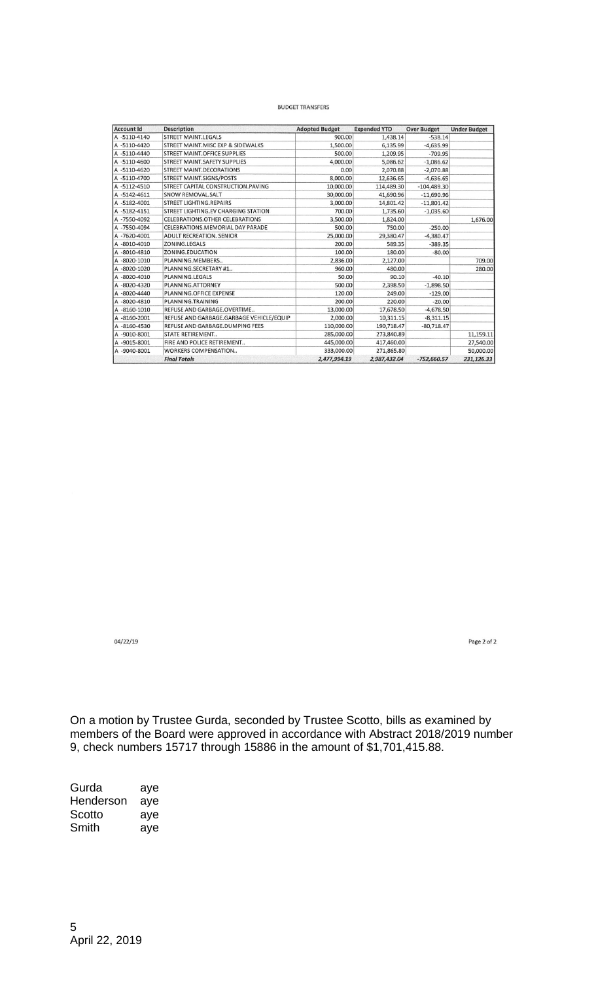## **BUDGET TRANSFERS**

| <b>Account Id</b> | <b>Description</b>                       | <b>Adopted Budget</b> | <b>Expended YTD</b> | <b>Over Budget</b> | <b>Under Budget</b> |
|-------------------|------------------------------------------|-----------------------|---------------------|--------------------|---------------------|
| A-5110-4140       | <b>STREET MAINT.LEGALS</b>               | 900.00                | 1,438.14            | $-538.14$          |                     |
| A-5110-4420       | STREET MAINT.MISC EXP & SIDEWALKS        | 1,500.00              | 6,135.99            | $-4,635.99$        |                     |
| A-5110-4440       | STREET MAINT.OFFICE SUPPLIES             | 500.00                | 1,209.95            | $-709.95$          |                     |
| A-5110-4600       | STREET MAINT.SAFETY SUPPLIES             | 4,000.00              | 5,086.62            | $-1,086.62$        |                     |
| A-5110-4620       | STREET MAINT.DECORATIONS                 | 0.00                  | 2,070.88            | $-2,070.88$        |                     |
| A-5110-4700       | <b>STREET MAINT.SIGNS/POSTS</b>          | 8,000,00              | 12,636.65           | $-4,636.65$        |                     |
| A-5112-4510       | STREET CAPITAL CONSTRUCTION. PAVING      | 10,000.00             | 114,489.30          | $-104,489.30$      |                     |
| A-5142-4611       | SNOW REMOVAL.SALT                        | 30,000.00             | 41,690.96           | $-11,690.96$       |                     |
| A-5182-4001       | <b>STREET LIGHTING, REPAIRS</b>          | 3,000.00              | 14,801.42           | $-11,801.42$       |                     |
| A-5182-4151       | STREET LIGHTING.EV CHARGING STATION      | 700.00                | 1,735.60            | $-1.035.60$        |                     |
| A-7550-4092       | <b>CELEBRATIONS.OTHER CELEBRATIONS</b>   | 3,500.00              | 1,824.00            |                    | 1,676.00            |
| A-7550-4094       | CELEBRATIONS.MEMORIAL DAY PARADE         | 500.00                | 750.00              | $-250.00$          |                     |
| A-7620-4001       | <b>ADULT RECREATION, SENIOR</b>          | 25,000.00             | 29.380.47           | $-4,380.47$        |                     |
| A-8010-4010       | ZONING.LEGALS                            | 200.00                | 589.35              | $-389.35$          |                     |
| A -8010-4810      | ZONING.EDUCATION                         | 100.00                | 180.00              | $-80.00$           |                     |
| A -8020-1010      | PLANNING.MEMBERS                         | 2,836.00              | 2,127.00            |                    | 709.00              |
| A-8020-1020       | PLANNING.SECRETARY #1                    | 960.00                | 480.00              |                    | 280.00              |
| A -8020-4010      | PLANNING.LEGALS                          | 50.00                 | 90.10               | $-40.10$           |                     |
| A -8020-4320      | PLANNING.ATTORNEY                        | 500.00                | 2,398.50            | $-1,898.50$        |                     |
| A -8020-4440      | PLANNING.OFFICE EXPENSE                  | 120.00                | 249.00              | $-129.00$          |                     |
| A-8020-4810       | PLANNING.TRAINING                        | 200.00                | 220.00              | $-20.00$           |                     |
| A -8160-1010      | REFUSE AND GARBAGE.OVERTIME              | 13,000.00             | 17,678.50           | $-4,678.50$        |                     |
| A -8160-2001      | REFUSE AND GARBAGE.GARBAGE VEHICLE/EQUIP | 2,000.00              | 10,311.15           | $-8,311.15$        |                     |
| A -8160-4530      | REFUSE AND GARBAGE.DUMPING FEES          | 110,000.00            | 190,718.47          | $-80,718,47$       |                     |
| A -9010-8001      | <b>STATE RETIREMENT</b>                  | 285.000.00            | 273,840.89          |                    | 11,159.11           |
| A -9015-8001      | FIRE AND POLICE RETIREMENT               | 445,000.00            | 417,460.00          |                    | 27,540.00           |
| A -9040-8001      | WORKERS COMPENSATION                     | 333,000.00            | 271.865.80          |                    | 50,000.00           |
|                   | <b>Final Totals</b>                      | 2,477,994.19          | 2,987,432.04        | $-752,660.57$      | 231,126.33          |

04/22/19

Page 2 of 2

On a motion by Trustee Gurda, seconded by Trustee Scotto, bills as examined by members of the Board were approved in accordance with Abstract 2018/2019 number 9, check numbers 15717 through 15886 in the amount of \$1,701,415.88.

Gurda aye Henderson aye Scotto aye Smith aye